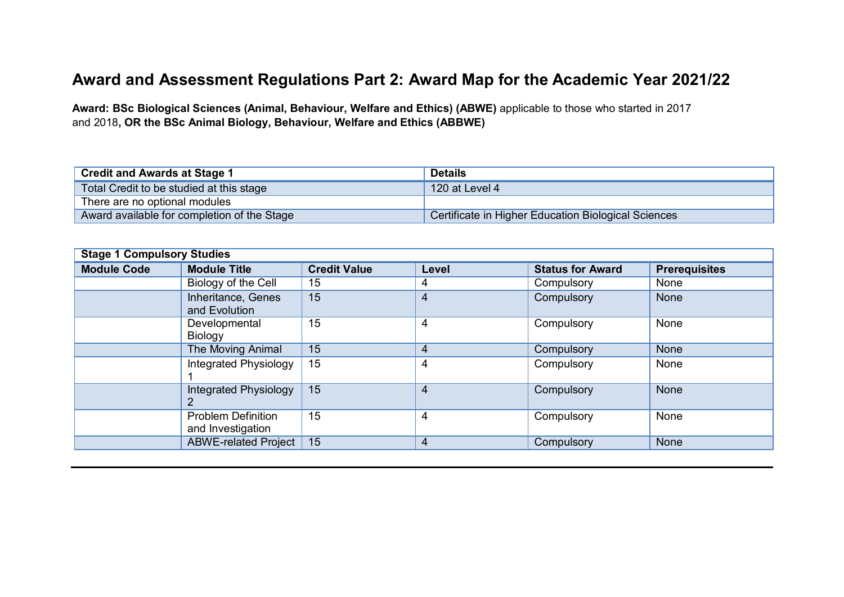## **Award and Assessment Regulations Part 2: Award Map for the Academic Year 2021/22**

**Award: BSc Biological Sciences (Animal, Behaviour, Welfare and Ethics) (ABWE)** applicable to those who started in 2017 and 2018**, OR the BSc Animal Biology, Behaviour, Welfare and Ethics (ABBWE)**

| <b>Credit and Awards at Stage 1</b>         | <b>Details</b>                                      |
|---------------------------------------------|-----------------------------------------------------|
| Total Credit to be studied at this stage    | 120 at Level 4                                      |
| There are no optional modules               |                                                     |
| Award available for completion of the Stage | Certificate in Higher Education Biological Sciences |

| <b>Stage 1 Compulsory Studies</b> |                                                |                     |       |                         |                      |  |
|-----------------------------------|------------------------------------------------|---------------------|-------|-------------------------|----------------------|--|
| <b>Module Code</b>                | <b>Module Title</b>                            | <b>Credit Value</b> | Level | <b>Status for Award</b> | <b>Prerequisites</b> |  |
|                                   | Biology of the Cell                            | 15                  | 4     | Compulsory              | None                 |  |
|                                   | Inheritance, Genes<br>and Evolution            | 15                  | 4     | Compulsory              | <b>None</b>          |  |
|                                   | Developmental<br>Biology                       | 15                  | 4     | Compulsory              | None                 |  |
|                                   | The Moving Animal                              | 15                  | 4     | Compulsory              | None                 |  |
|                                   | Integrated Physiology                          | 15                  | 4     | Compulsory              | None                 |  |
|                                   | <b>Integrated Physiology</b><br>2              | 15                  | 4     | Compulsory              | <b>None</b>          |  |
|                                   | <b>Problem Definition</b><br>and Investigation | 15                  | 4     | Compulsory              | None                 |  |
|                                   | <b>ABWE-related Project</b>                    | 15                  | 4     | Compulsory              | None                 |  |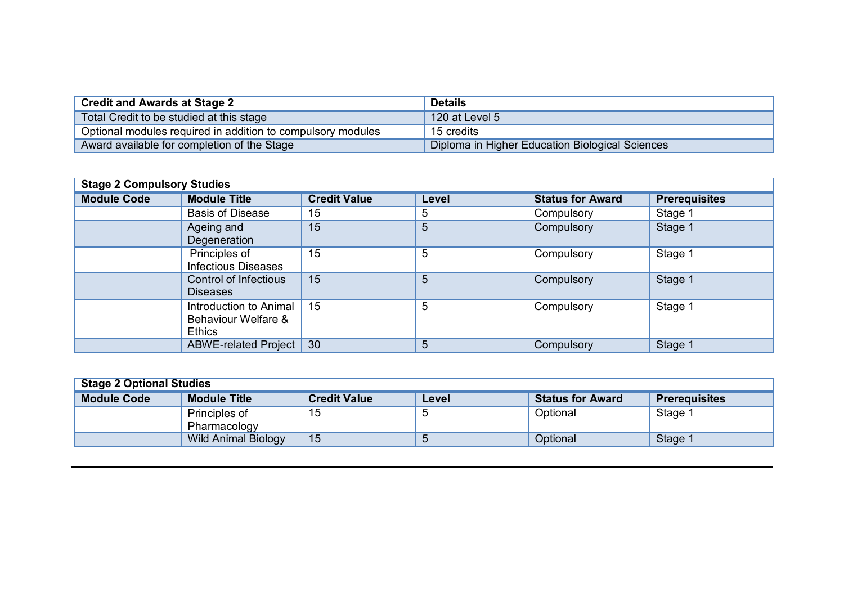| <b>Credit and Awards at Stage 2</b>                         | <b>Details</b>                                  |
|-------------------------------------------------------------|-------------------------------------------------|
| Total Credit to be studied at this stage                    | 120 at Level 5                                  |
| Optional modules required in addition to compulsory modules | 15 credits                                      |
| Award available for completion of the Stage                 | Diploma in Higher Education Biological Sciences |

| <b>Stage 2 Compulsory Studies</b> |                                                                |                     |       |                         |                      |  |
|-----------------------------------|----------------------------------------------------------------|---------------------|-------|-------------------------|----------------------|--|
| <b>Module Code</b>                | <b>Module Title</b>                                            | <b>Credit Value</b> | Level | <b>Status for Award</b> | <b>Prerequisites</b> |  |
|                                   | <b>Basis of Disease</b>                                        | 15                  | 5     | Compulsory              | Stage 1              |  |
|                                   | Ageing and<br>Degeneration                                     | 15                  | 5     | Compulsory              | Stage 1              |  |
|                                   | Principles of<br><b>Infectious Diseases</b>                    | 15                  | 5     | Compulsory              | Stage 1              |  |
|                                   | <b>Control of Infectious</b><br><b>Diseases</b>                | 15                  | 5     | Compulsory              | Stage 1              |  |
|                                   | Introduction to Animal<br>Behaviour Welfare &<br><b>Ethics</b> | 15                  | 5     | Compulsory              | Stage 1              |  |
|                                   | <b>ABWE-related Project</b>                                    | 30                  | 5     | Compulsory              | Stage 1              |  |

| <b>Stage 2 Optional Studies</b> |                                                                                                        |    |  |          |         |  |  |  |
|---------------------------------|--------------------------------------------------------------------------------------------------------|----|--|----------|---------|--|--|--|
| <b>Module Code</b>              | <b>Module Title</b><br><b>Credit Value</b><br><b>Status for Award</b><br><b>Prerequisites</b><br>Level |    |  |          |         |  |  |  |
|                                 | Principles of                                                                                          | 15 |  | Optional | Stage 1 |  |  |  |
|                                 | Pharmacology                                                                                           |    |  |          |         |  |  |  |
|                                 | Wild Animal Biology                                                                                    | 15 |  | Optional | Stage 1 |  |  |  |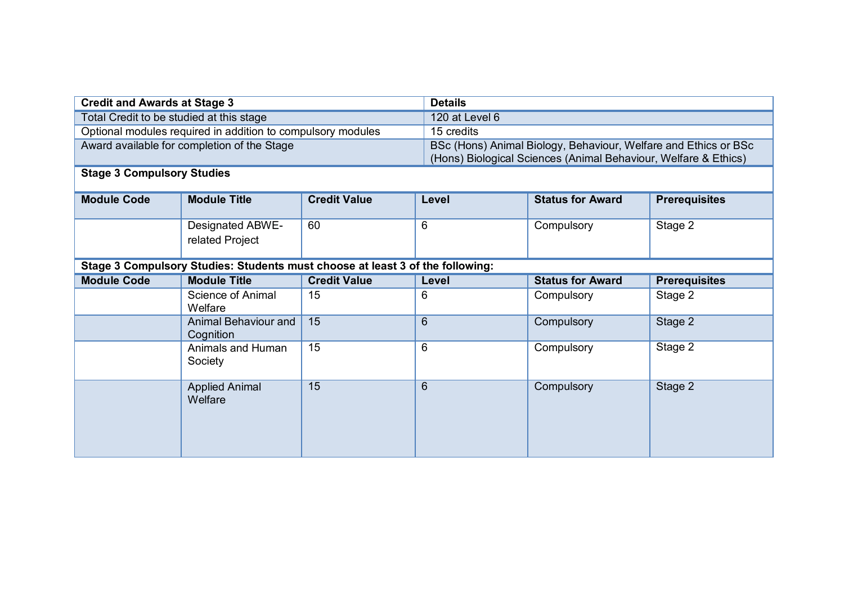| <b>Credit and Awards at Stage 3</b>                         |                                                                               | <b>Details</b>      |                                                          |                                                                 |                      |  |
|-------------------------------------------------------------|-------------------------------------------------------------------------------|---------------------|----------------------------------------------------------|-----------------------------------------------------------------|----------------------|--|
| Total Credit to be studied at this stage                    |                                                                               |                     | 120 at Level 6                                           |                                                                 |                      |  |
| Optional modules required in addition to compulsory modules |                                                                               |                     | 15 credits                                               |                                                                 |                      |  |
|                                                             | Award available for completion of the Stage                                   |                     |                                                          | BSc (Hons) Animal Biology, Behaviour, Welfare and Ethics or BSc |                      |  |
|                                                             |                                                                               |                     |                                                          | (Hons) Biological Sciences (Animal Behaviour, Welfare & Ethics) |                      |  |
| <b>Stage 3 Compulsory Studies</b>                           |                                                                               |                     |                                                          |                                                                 |                      |  |
| <b>Module Code</b>                                          | <b>Module Title</b>                                                           | <b>Credit Value</b> | Level                                                    | <b>Status for Award</b>                                         | <b>Prerequisites</b> |  |
|                                                             |                                                                               |                     |                                                          |                                                                 |                      |  |
|                                                             | <b>Designated ABWE-</b>                                                       | 60                  | 6                                                        | Compulsory                                                      | Stage 2              |  |
|                                                             | related Project                                                               |                     |                                                          |                                                                 |                      |  |
|                                                             |                                                                               |                     |                                                          |                                                                 |                      |  |
|                                                             | Stage 3 Compulsory Studies: Students must choose at least 3 of the following: |                     |                                                          |                                                                 |                      |  |
| <b>Module Code</b>                                          | <b>Module Title</b>                                                           | <b>Credit Value</b> | <b>Status for Award</b><br><b>Prerequisites</b><br>Level |                                                                 |                      |  |
|                                                             | Science of Animal<br>Welfare                                                  | 15                  | 6                                                        | Compulsory                                                      | Stage 2              |  |
|                                                             | <b>Animal Behaviour and</b><br>Cognition                                      | $\overline{15}$     | $6\phantom{1}$                                           | Compulsory                                                      | Stage 2              |  |
|                                                             | Animals and Human<br>Society                                                  | $\overline{15}$     | 6                                                        | Compulsory                                                      | Stage 2              |  |
|                                                             | <b>Applied Animal</b><br>Welfare                                              | 15                  | 6                                                        | Compulsory                                                      | Stage 2              |  |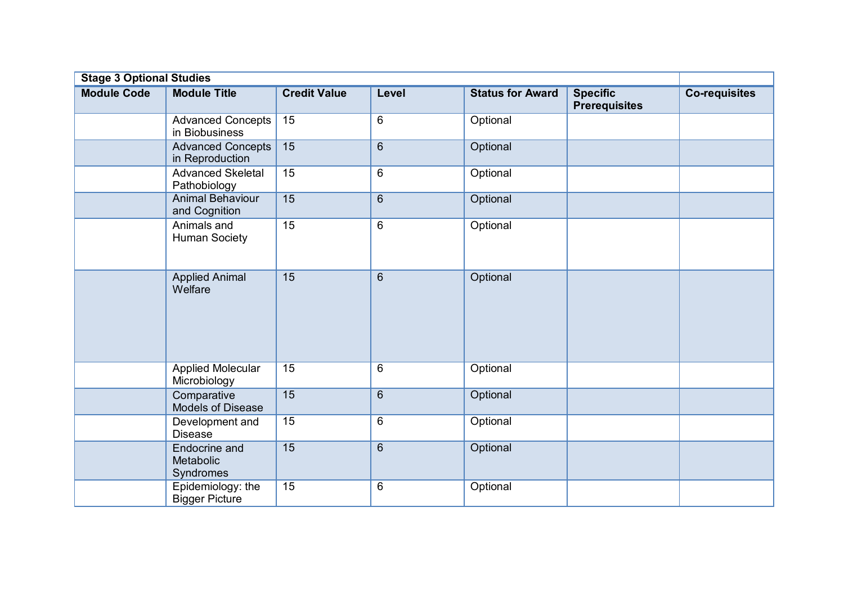| <b>Stage 3 Optional Studies</b> |                                                |                     |                |                         |                                         |                      |  |
|---------------------------------|------------------------------------------------|---------------------|----------------|-------------------------|-----------------------------------------|----------------------|--|
| <b>Module Code</b>              | <b>Module Title</b>                            | <b>Credit Value</b> | Level          | <b>Status for Award</b> | <b>Specific</b><br><b>Prerequisites</b> | <b>Co-requisites</b> |  |
|                                 | <b>Advanced Concepts</b><br>in Biobusiness     | 15                  | 6              | Optional                |                                         |                      |  |
|                                 | <b>Advanced Concepts</b><br>in Reproduction    | 15                  | $6\phantom{1}$ | Optional                |                                         |                      |  |
|                                 | <b>Advanced Skeletal</b><br>Pathobiology       | 15                  | 6              | Optional                |                                         |                      |  |
|                                 | <b>Animal Behaviour</b><br>and Cognition       | 15                  | $6\phantom{1}$ | Optional                |                                         |                      |  |
|                                 | Animals and<br><b>Human Society</b>            | 15                  | 6              | Optional                |                                         |                      |  |
|                                 | <b>Applied Animal</b><br>Welfare               | 15                  | $6\phantom{1}$ | Optional                |                                         |                      |  |
|                                 | <b>Applied Molecular</b><br>Microbiology       | 15                  | 6              | Optional                |                                         |                      |  |
|                                 | Comparative<br><b>Models of Disease</b>        | 15                  | $\,6\,$        | Optional                |                                         |                      |  |
|                                 | Development and<br><b>Disease</b>              | 15                  | $6\phantom{1}$ | Optional                |                                         |                      |  |
|                                 | <b>Endocrine and</b><br>Metabolic<br>Syndromes | 15                  | $\overline{6}$ | Optional                |                                         |                      |  |
|                                 | Epidemiology: the<br><b>Bigger Picture</b>     | 15                  | 6              | Optional                |                                         |                      |  |